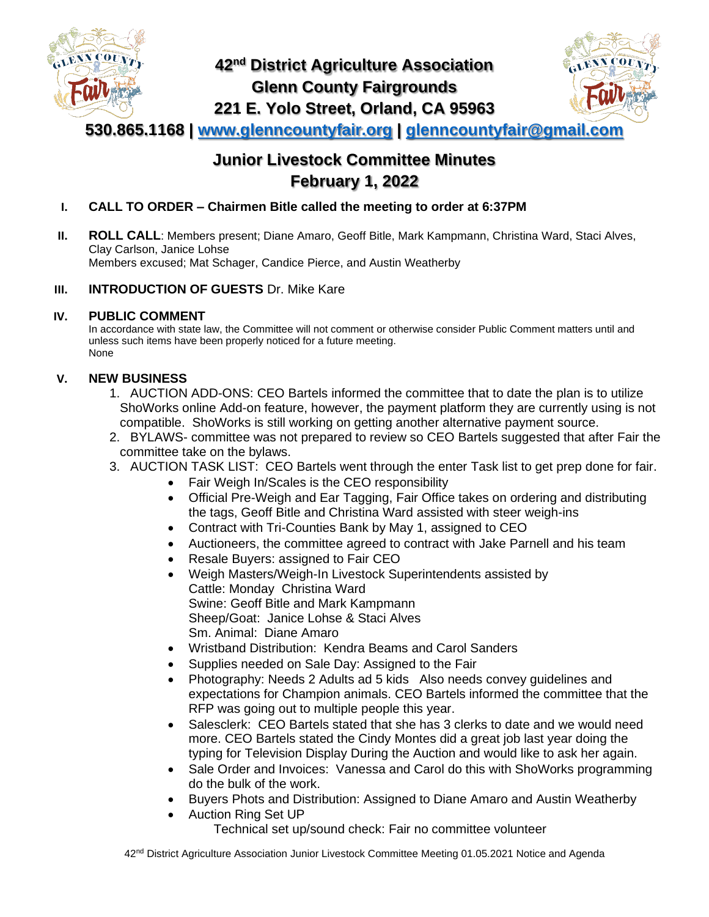

# **42nd District Agriculture Association Glenn County Fairgrounds 221 E. Yolo Street, Orland, CA 95963**



**530.865.1168 | [www.glenncountyfair.org](http://www.glenncountyfair.org/) | [glenncountyfair@gmail.com](mailto:glenncountyfair@gmail.com)**

# **Junior Livestock Committee Minutes February 1, 2022**

- **I. CALL TO ORDER – Chairmen Bitle called the meeting to order at 6:37PM**
- **II. ROLL CALL**: Members present; Diane Amaro, Geoff Bitle, Mark Kampmann, Christina Ward, Staci Alves, Clay Carlson, Janice Lohse Members excused; Mat Schager, Candice Pierce, and Austin Weatherby

### **III. INTRODUCTION OF GUESTS** Dr. Mike Kare

### **IV. PUBLIC COMMENT**

In accordance with state law, the Committee will not comment or otherwise consider Public Comment matters until and unless such items have been properly noticed for a future meeting. None

### **V. NEW BUSINESS**

- 1. AUCTION ADD-ONS: CEO Bartels informed the committee that to date the plan is to utilize ShoWorks online Add-on feature, however, the payment platform they are currently using is not compatible. ShoWorks is still working on getting another alternative payment source.
- 2. BYLAWS- committee was not prepared to review so CEO Bartels suggested that after Fair the committee take on the bylaws.
- 3. AUCTION TASK LIST: CEO Bartels went through the enter Task list to get prep done for fair.
	- Fair Weigh In/Scales is the CEO responsibility
	- Official Pre-Weigh and Ear Tagging, Fair Office takes on ordering and distributing the tags, Geoff Bitle and Christina Ward assisted with steer weigh-ins
	- Contract with Tri-Counties Bank by May 1, assigned to CEO
	- Auctioneers, the committee agreed to contract with Jake Parnell and his team
	- Resale Buyers: assigned to Fair CEO
	- Weigh Masters/Weigh-In Livestock Superintendents assisted by Cattle: Monday Christina Ward Swine: Geoff Bitle and Mark Kampmann Sheep/Goat: Janice Lohse & Staci Alves Sm. Animal: Diane Amaro
	- Wristband Distribution: Kendra Beams and Carol Sanders
	- Supplies needed on Sale Day: Assigned to the Fair
	- Photography: Needs 2 Adults ad 5 kids Also needs convey guidelines and expectations for Champion animals. CEO Bartels informed the committee that the RFP was going out to multiple people this year.
	- Salesclerk: CEO Bartels stated that she has 3 clerks to date and we would need more. CEO Bartels stated the Cindy Montes did a great job last year doing the typing for Television Display During the Auction and would like to ask her again.
	- Sale Order and Invoices: Vanessa and Carol do this with ShoWorks programming do the bulk of the work.
	- Buyers Phots and Distribution: Assigned to Diane Amaro and Austin Weatherby
	- Auction Ring Set UP

Technical set up/sound check: Fair no committee volunteer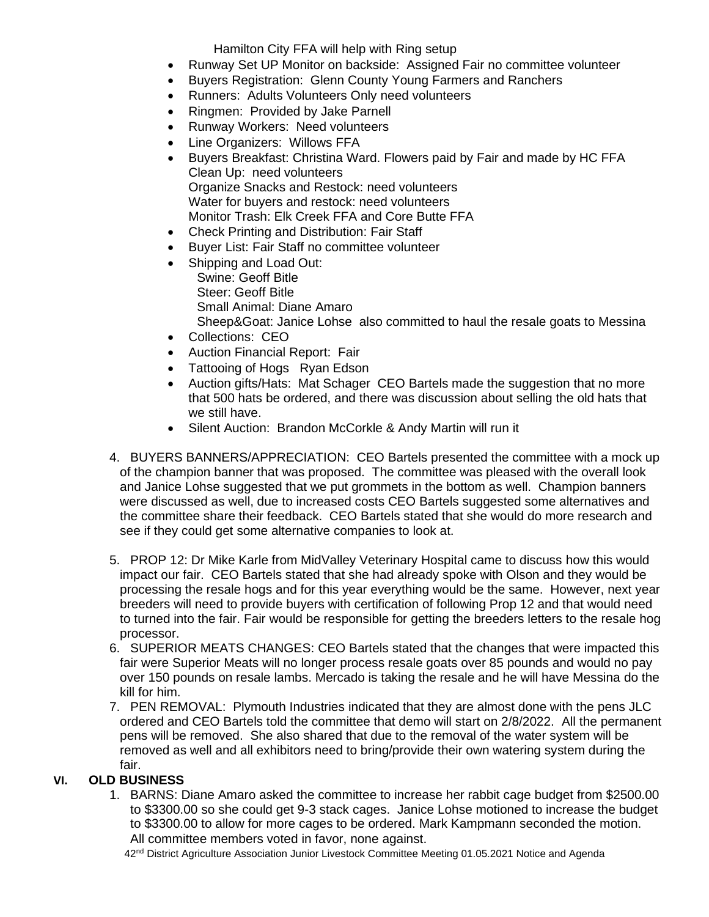Hamilton City FFA will help with Ring setup

- Runway Set UP Monitor on backside: Assigned Fair no committee volunteer
- Buyers Registration: Glenn County Young Farmers and Ranchers
- Runners: Adults Volunteers Only need volunteers
- Ringmen: Provided by Jake Parnell
- Runway Workers: Need volunteers
- Line Organizers: Willows FFA
- Buyers Breakfast: Christina Ward. Flowers paid by Fair and made by HC FFA Clean Up: need volunteers Organize Snacks and Restock: need volunteers Water for buyers and restock: need volunteers Monitor Trash: Elk Creek FFA and Core Butte FFA
- Check Printing and Distribution: Fair Staff
- Buyer List: Fair Staff no committee volunteer
- Shipping and Load Out: Swine: Geoff Bitle Steer: Geoff Bitle Small Animal: Diane Amaro Sheep&Goat: Janice Lohse also committed to haul the resale goats to Messina
- Collections: CEO
- Auction Financial Report: Fair
- Tattooing of Hogs Ryan Edson
- Auction gifts/Hats: Mat Schager CEO Bartels made the suggestion that no more that 500 hats be ordered, and there was discussion about selling the old hats that we still have.
- Silent Auction: Brandon McCorkle & Andy Martin will run it
- 4. BUYERS BANNERS/APPRECIATION: CEO Bartels presented the committee with a mock up of the champion banner that was proposed. The committee was pleased with the overall look and Janice Lohse suggested that we put grommets in the bottom as well. Champion banners were discussed as well, due to increased costs CEO Bartels suggested some alternatives and the committee share their feedback. CEO Bartels stated that she would do more research and see if they could get some alternative companies to look at.
- 5. PROP 12: Dr Mike Karle from MidValley Veterinary Hospital came to discuss how this would impact our fair. CEO Bartels stated that she had already spoke with Olson and they would be processing the resale hogs and for this year everything would be the same. However, next year breeders will need to provide buyers with certification of following Prop 12 and that would need to turned into the fair. Fair would be responsible for getting the breeders letters to the resale hog processor.
- 6. SUPERIOR MEATS CHANGES: CEO Bartels stated that the changes that were impacted this fair were Superior Meats will no longer process resale goats over 85 pounds and would no pay over 150 pounds on resale lambs. Mercado is taking the resale and he will have Messina do the kill for him.
- 7. PEN REMOVAL: Plymouth Industries indicated that they are almost done with the pens JLC ordered and CEO Bartels told the committee that demo will start on 2/8/2022. All the permanent pens will be removed. She also shared that due to the removal of the water system will be removed as well and all exhibitors need to bring/provide their own watering system during the fair.

#### **VI. OLD BUSINESS**

1. BARNS: Diane Amaro asked the committee to increase her rabbit cage budget from \$2500.00 to \$3300.00 so she could get 9-3 stack cages. Janice Lohse motioned to increase the budget to \$3300.00 to allow for more cages to be ordered. Mark Kampmann seconded the motion. All committee members voted in favor, none against.

42<sup>nd</sup> District Agriculture Association Junior Livestock Committee Meeting 01.05.2021 Notice and Agenda